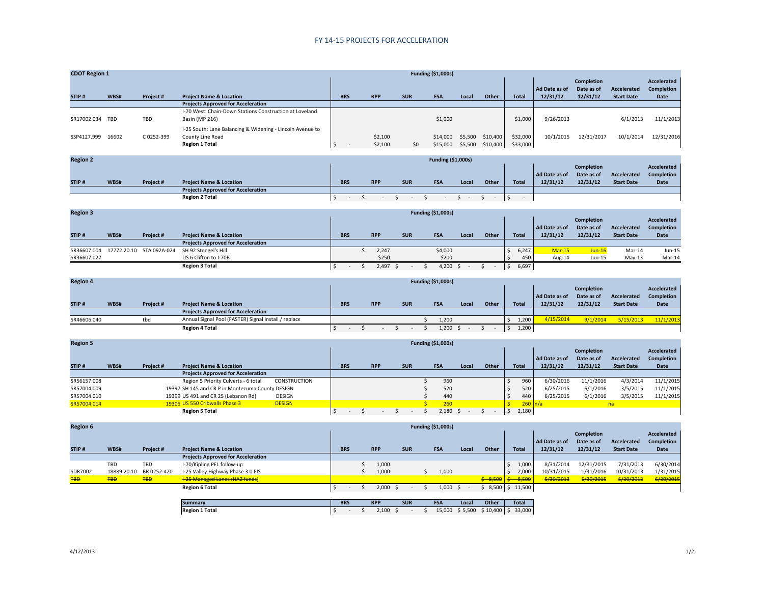## FY 14‐15 PROJECTS FOR ACCELERATION

| <b>CDOT Region 1</b> |       |            |                                                                                                        |            |            |                    |            | <b>Funding (\$1,000s)</b> |                    |                      |                      |                           |                                      |                                         |                                   |
|----------------------|-------|------------|--------------------------------------------------------------------------------------------------------|------------|------------|--------------------|------------|---------------------------|--------------------|----------------------|----------------------|---------------------------|--------------------------------------|-----------------------------------------|-----------------------------------|
| STIP#                | WBS#  | Project#   | <b>Project Name &amp; Location</b>                                                                     | <b>BRS</b> | <b>RPP</b> |                    | <b>SUR</b> | <b>FSA</b>                | Local              | Other                | <b>Total</b>         | Ad Date as of<br>12/31/12 | Completion<br>Date as of<br>12/31/12 | <b>Accelerated</b><br><b>Start Date</b> | Accelerated<br>Completion<br>Date |
|                      |       |            | <b>Projects Approved for Acceleration</b>                                                              |            |            |                    |            |                           |                    |                      |                      |                           |                                      |                                         |                                   |
| SR17002.034          | TBD   | TBD        | I-70 West: Chain-Down Stations Construction at Loveland<br>Basin (MP 216)                              |            |            |                    |            | \$1,000                   |                    |                      | \$1,000              | 9/26/2013                 |                                      | 6/1/2013                                | 11/1/2013                         |
| SSP4127.999          | 16602 | C 0252-399 | I-25 South: Lane Balancing & Widening - Lincoln Avenue to<br>County Line Road<br><b>Region 1 Total</b> |            |            | \$2,100<br>\$2,100 | \$0        | \$14,000<br>\$15,000      | \$5,500<br>\$5,500 | \$10,400<br>\$10,400 | \$32,000<br>\$33,000 | 10/1/2015                 | 12/31/2017                           | 10/1/2014                               | 12/31/2016                        |

| <b>Region 2</b> |      |                 |                                           |            |  |            |            |            |      |       |              |               |                   |                   |                   |
|-----------------|------|-----------------|-------------------------------------------|------------|--|------------|------------|------------|------|-------|--------------|---------------|-------------------|-------------------|-------------------|
|                 |      |                 |                                           |            |  |            |            |            |      |       |              |               | <b>Completion</b> |                   | Accelerated       |
|                 |      |                 |                                           |            |  |            |            |            |      |       |              | Ad Date as of | Date as of        | Accelerated       | <b>Completion</b> |
| STIP#           | WBS# | <b>Project#</b> | <b>Project Name &amp; Location</b>        | <b>BRS</b> |  | <b>RPP</b> | <b>SUR</b> | <b>FSA</b> | Loca | Other | <b>Total</b> | 12/31/12      | 12/31/12          | <b>Start Date</b> | Date              |
|                 |      |                 | <b>Projects Approved for Acceleration</b> |            |  |            |            |            |      |       |              |               |                   |                   |                   |
|                 |      |                 | <b>Region 2 Total</b>                     |            |  |            |            |            |      |       |              |               |                   |                   |                   |

| <b>Region 3</b> |      |                          |                                           | <b>Funding (\$1,000s)</b> |  |            |            |            |       |       |  |              |                   |            |                   |            |  |
|-----------------|------|--------------------------|-------------------------------------------|---------------------------|--|------------|------------|------------|-------|-------|--|--------------|-------------------|------------|-------------------|------------|--|
|                 |      |                          |                                           |                           |  |            |            |            |       |       |  |              | <b>Completion</b> |            | Accelerated       |            |  |
|                 |      |                          |                                           |                           |  |            |            |            |       |       |  |              | Ad Date as of     | Date as of | Accelerated       | Completion |  |
| STIP#           | WBS# | Project #                | <b>Project Name &amp; Location</b>        | <b>BRS</b>                |  | <b>RPP</b> | <b>SUR</b> | <b>FSA</b> | Local | Other |  | <b>Total</b> | 12/31/12          | 12/31/12   | <b>Start Date</b> | Date       |  |
|                 |      |                          | <b>Projects Approved for Acceleration</b> |                           |  |            |            |            |       |       |  |              |                   |            |                   |            |  |
| SR36607.004     |      | 17772.20.10 STA 092A-024 | SH 92 Stengel's Hill                      |                           |  | 2,247      |            | \$4,000    |       |       |  | 6,247        | $Mar-15$          | $Jun-16$   | Mar-14            | Jun-15     |  |
| SR36607.027     |      |                          | US 6 Clifton to I-70B                     |                           |  | \$250      |            | \$200      |       |       |  | 45C          | Aug-14            | Jun-15     | $Mav-13$          | Mar-14     |  |
|                 |      |                          | <b>Region 3 Total</b>                     |                           |  | 2,497      |            | 4,200      |       |       |  | 6,697        |                   |            |                   |            |  |

| <b>Region 4</b> |      |                 |                                                      |            |            |            | <b>Funding (\$1,000s)</b> |       |       |              |                   |            |                   |                   |
|-----------------|------|-----------------|------------------------------------------------------|------------|------------|------------|---------------------------|-------|-------|--------------|-------------------|------------|-------------------|-------------------|
|                 |      |                 |                                                      |            |            |            |                           |       |       |              | <b>Completion</b> |            | Accelerated       |                   |
|                 |      |                 |                                                      |            |            |            |                           |       |       |              | Ad Date as of     | Date as of | Accelerated       | <b>Completion</b> |
| STIP#           | WBS# | <b>Project#</b> | <b>Project Name &amp; Location</b>                   | <b>BRS</b> | <b>RPP</b> | <b>SUR</b> | FSA                       | Local | Other | <b>Total</b> | 12/31/12          | 12/31/12   | <b>Start Date</b> | Date              |
|                 |      |                 | <b>Projects Approved for Acceleration</b>            |            |            |            |                           |       |       |              |                   |            |                   |                   |
| SR46606.040     |      | tbd             | Annual Signal Pool (FASTER) Signal install / replace |            |            |            | 1,200                     |       |       | 1.200        | 4/15/2014         | 9/1/2014   | 5/15/2013         | 11/1/2013         |
|                 |      |                 | <b>Region 4 Total</b>                                |            |            |            | 1,200                     |       |       | 1.200        |                   |            |                   |                   |

| <b>Region 5</b> |      |           | <b>Funding (\$1,000s)</b>                        |               |  |            |  |            |            |  |            |                    |  |       |  |                   |               |             |                   |            |
|-----------------|------|-----------|--------------------------------------------------|---------------|--|------------|--|------------|------------|--|------------|--------------------|--|-------|--|-------------------|---------------|-------------|-------------------|------------|
|                 |      |           |                                                  |               |  |            |  |            |            |  |            |                    |  |       |  | <b>Completion</b> |               | Accelerated |                   |            |
|                 |      |           |                                                  |               |  |            |  |            |            |  |            |                    |  |       |  |                   | Ad Date as of | Date as of  | Accelerated       | Completion |
| STIP#           | WBS# | Project # | <b>Project Name &amp; Location</b>               |               |  | <b>BRS</b> |  | <b>RPP</b> | <b>SUR</b> |  | <b>FSA</b> | Local              |  | Other |  | <b>Total</b>      | 12/31/12      | 12/31/12    | <b>Start Date</b> | Date       |
|                 |      |           | <b>Projects Approved for Acceleration</b>        |               |  |            |  |            |            |  |            |                    |  |       |  |                   |               |             |                   |            |
| SR56157.008     |      |           | Region 5 Priority Culverts - 6 total             | CONSTRUCTION  |  |            |  |            |            |  | 960        |                    |  |       |  | 960               | 6/30/2016     | 11/1/2016   | 4/3/2014          | 11/1/2015  |
| SR57004.009     |      |           | 19397 SH 145 and CR P in Montezuma County DESIGN |               |  |            |  |            |            |  | 520        |                    |  |       |  | 520               | 6/25/2015     | 6/1/2016    | 3/5/2015          | 11/1/2015  |
| SR57004.010     |      |           | 19399 US 491 and CR 25 (Lebanon Rd)              | DESIGN        |  |            |  |            |            |  | 440        |                    |  |       |  | 440               | 6/25/2015     | 6/1/2016    | 3/5/2015          | 11/1/2015  |
| SR57004.014     |      |           | 19305 US 550 Cribwalls Phase 3                   | <b>DESIGN</b> |  |            |  |            |            |  | 260        |                    |  |       |  | $260 \ln/a$       |               |             | na                |            |
|                 |      |           | <b>Region 5 Total</b>                            |               |  |            |  |            |            |  |            | $2.180 \quad $5$ - |  |       |  | 2,180             |               |             |                   |            |

| <b>Region 6</b> |             |             |                                           |            |                 |            | <b>Funding (\$1,000s)</b> |            |         |                                   |                 |               |            |                   |                    |
|-----------------|-------------|-------------|-------------------------------------------|------------|-----------------|------------|---------------------------|------------|---------|-----------------------------------|-----------------|---------------|------------|-------------------|--------------------|
|                 |             |             |                                           |            |                 |            |                           |            |         |                                   |                 |               | Completion |                   | <b>Accelerated</b> |
|                 |             |             |                                           |            |                 |            |                           |            |         |                                   |                 | Ad Date as of | Date as of | Accelerated       | Completion         |
| STIP#           | WBS#        | Project#    | <b>Project Name &amp; Location</b>        | <b>BRS</b> | <b>RPP</b>      | <b>SUR</b> |                           | <b>FSA</b> | Local   | Other                             | <b>Total</b>    | 12/31/12      | 12/31/12   | <b>Start Date</b> | Date               |
|                 |             |             | <b>Projects Approved for Acceleration</b> |            |                 |            |                           |            |         |                                   |                 |               |            |                   |                    |
|                 | TBD         | TBD         | I-70/Kipling PEL follow-up                |            | 1,000           |            |                           |            |         |                                   | 1,000           | 8/31/2014     | 12/31/2015 | 7/31/2013         | 6/30/2014          |
| SDR7002         | 18889.20.10 | BR 0252-420 | I-25 Valley Highway Phase 3.0 EIS         |            | 1,000           |            |                           | 1,000      |         |                                   | 2,000           | 10/31/2015    | 1/31/2016  | 10/31/2013        | 1/31/2015          |
| <b>TBD</b>      | <b>TBD</b>  | <b>TBD</b>  | <b>I-25 Managed Lanes (HAZ funds)</b>     |            |                 |            |                           |            |         | $\frac{2}{5}$ 8,500 $\frac{2}{5}$ | 8,500           | 5/30/2013     | 6/30/2015  | 5/30/2013         | 6/30/2015          |
|                 |             |             | <b>Region 6 Total</b>                     |            | $2,000 \quad $$ |            |                           | $1,000$ \$ |         |                                   | 8,500 \$ 11,500 |               |            |                   |                    |
|                 |             |             |                                           |            |                 |            |                           |            |         |                                   |                 |               |            |                   |                    |
|                 |             |             | <b>Summary</b>                            | <b>BRS</b> | <b>RPP</b>      | <b>SUR</b> |                           | <b>FSA</b> | Local   | Other                             | <b>Total</b>    |               |            |                   |                    |
|                 |             |             | <b>Region 1 Total</b>                     | $\sim$     | 2,100           |            |                           | 15.000     | \$5,500 | $$10,400$ $$33,000$               |                 |               |            |                   |                    |